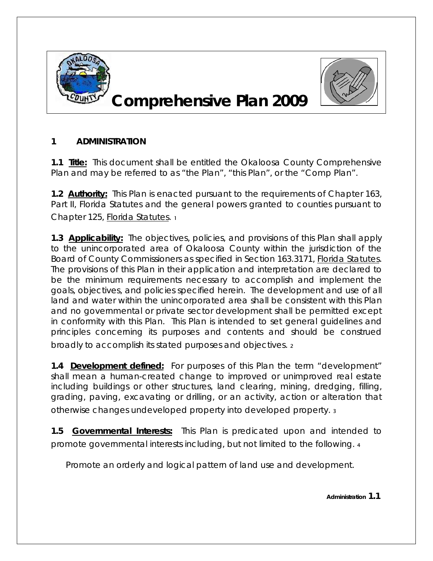

## **Comprehensive Plan 2009**



## **1 ADMINISTRATION**

**1.1 Title:** This document shall be entitled the Okaloosa County Comprehensive Plan and may be referred to as "the Plan", "this Plan", or the "Comp Plan".

**1.2 Authority:** This Plan is enacted pursuant to the requirements of Chapter 163, Part II, Florida Statutes and the general powers granted to counties pursuant to Chapter 125, Florida Statutes. 1

**1.3 Applicability:** The objectives, policies, and provisions of this Plan shall apply to the unincorporated area of Okaloosa County within the jurisdiction of the Board of County Commissioners as specified in Section 163.3171, Florida Statutes. The provisions of this Plan in their application and interpretation are declared to be the minimum requirements necessary to accomplish and implement the goals, objectives, and policies specified herein. The development and use of all land and water within the unincorporated area shall be consistent with this Plan and no governmental or private sector development shall be permitted except in conformity with this Plan. This Plan is intended to set general guidelines and principles concerning its purposes and contents and should be construed broadly to accomplish its stated purposes and objectives. 2

**1.4 Development defined:** For purposes of this Plan the term "development" shall mean a human-created change to improved or unimproved real estate including buildings or other structures, land clearing, mining, dredging, filling, grading, paving, excavating or drilling, or an activity, action or alteration that otherwise changes undeveloped property into developed property. 3

**1.5 Governmental Interests:** This Plan is predicated upon and intended to promote governmental interests including, but not limited to the following. 4

Promote an orderly and logical pattern of land use and development.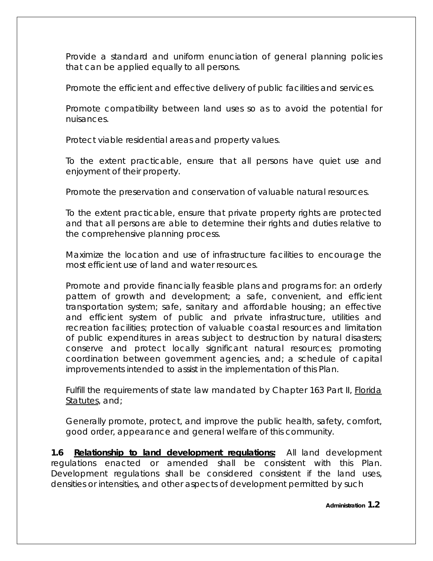Provide a standard and uniform enunciation of general planning policies that can be applied equally to all persons.

Promote the efficient and effective delivery of public facilities and services.

Promote compatibility between land uses so as to avoid the potential for nuisances.

Protect viable residential areas and property values.

To the extent practicable, ensure that all persons have quiet use and enjoyment of their property.

Promote the preservation and conservation of valuable natural resources.

To the extent practicable, ensure that private property rights are protected and that all persons are able to determine their rights and duties relative to the comprehensive planning process.

Maximize the location and use of infrastructure facilities to encourage the most efficient use of land and water resources.

Promote and provide financially feasible plans and programs for: an orderly pattern of growth and development; a safe, convenient, and efficient transportation system; safe, sanitary and affordable housing; an effective and efficient system of public and private infrastructure, utilities and recreation facilities; protection of valuable coastal resources and limitation of public expenditures in areas subject to destruction by natural disasters; conserve and protect locally significant natural resources; promoting coordination between government agencies, and; a schedule of capital improvements intended to assist in the implementation of this Plan.

Fulfill the requirements of state law mandated by Chapter 163 Part II, Florida Statutes, and;

Generally promote, protect, and improve the public health, safety, comfort, good order, appearance and general welfare of this community.

**1.6 Relationship to land development regulations:** All land development regulations enacted or amended shall be consistent with this Plan. Development regulations shall be considered consistent if the land uses, densities or intensities, and other aspects of development permitted by such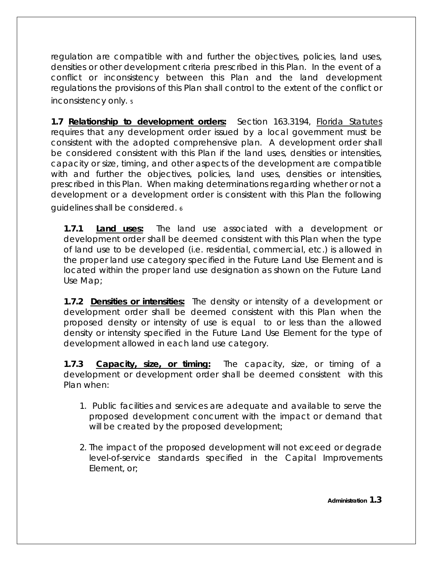regulation are compatible with and further the objectives, policies, land uses, densities or other development criteria prescribed in this Plan. In the event of a conflict or inconsistency between this Plan and the land development regulations the provisions of this Plan shall control to the extent of the conflict or inconsistency only.  $\overline{\phantom{a}}$ 

**1.7 Relationship to development orders:** Section 163.3194, Florida Statutes requires that any development order issued by a local government must be consistent with the adopted comprehensive plan. A development order shall be considered consistent with this Plan if the land uses, densities or intensities, capacity or size, timing, and other aspects of the development are compatible with and further the objectives, policies, land uses, densities or intensities, prescribed in this Plan. When making determinations regarding whether or not a development or a development order is consistent with this Plan the following guidelines shall be considered.  $\epsilon$ 

**1.7.1 Land uses:** The land use associated with a development or development order shall be deemed consistent with this Plan when the type of land use to be developed (i.e. residential, commercial, etc.) is allowed in the proper land use category specified in the Future Land Use Element and is located within the proper land use designation as shown on the Future Land Use Map;

**1.7.2 Densities or intensities:** The density or intensity of a development or development order shall be deemed consistent with this Plan when the proposed density or intensity of use is equal to or less than the allowed density or intensity specified in the Future Land Use Element for the type of development allowed in each land use category.

**1.7.3 Capacity, size, or timing:** The capacity, size, or timing of a development or development order shall be deemed consistent with this Plan when:

- 1. Public facilities and services are adequate and available to serve the proposed development concurrent with the impact or demand that will be created by the proposed development;
- 2. The impact of the proposed development will not exceed or degrade level-of-service standards specified in the Capital Improvements Element, or;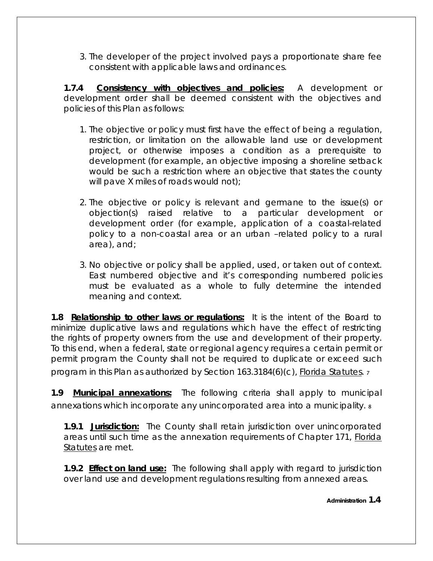3. The developer of the project involved pays a proportionate share fee consistent with applicable laws and ordinances.

**1.7.4 Consistency with objectives and policies:** A development or development order shall be deemed consistent with the objectives and policies of this Plan as follows:

- 1. The objective or policy must first have the effect of being a regulation, restriction, or limitation on the allowable land use or development project, or otherwise imposes a condition as a prerequisite to development (for example, an objective imposing a shoreline setback would be such a restriction where an objective that states the county will pave X miles of roads would not);
- 2. The objective or policy is relevant and germane to the issue(s) or objection(s) raised relative to a particular development or development order (for example, application of a coastal-related policy to a non-coastal area or an urban –related policy to a rural area), and;
- 3. No objective or policy shall be applied, used, or taken out of context. East numbered objective and it's corresponding numbered policies must be evaluated as a whole to fully determine the intended meaning and context.

**1.8 Relationship to other laws or regulations:** It is the intent of the Board to minimize duplicative laws and regulations which have the effect of restricting the rights of property owners from the use and development of their property. To this end, when a federal, state or regional agency requires a certain permit or permit program the County shall not be required to duplicate or exceed such program in this Plan as authorized by Section 163.3184(6)(c), Florida Statutes. 7

**1.9 Municipal annexations:** The following criteria shall apply to municipal annexations which incorporate any unincorporated area into a municipality.  $\frac{s}{s}$ 

**1.9.1 Jurisdiction:** The County shall retain jurisdiction over unincorporated areas until such time as the annexation requirements of Chapter 171, Florida Statutes are met.

**1.9.2 Effect on land use:** The following shall apply with regard to jurisdiction over land use and development regulations resulting from annexed areas.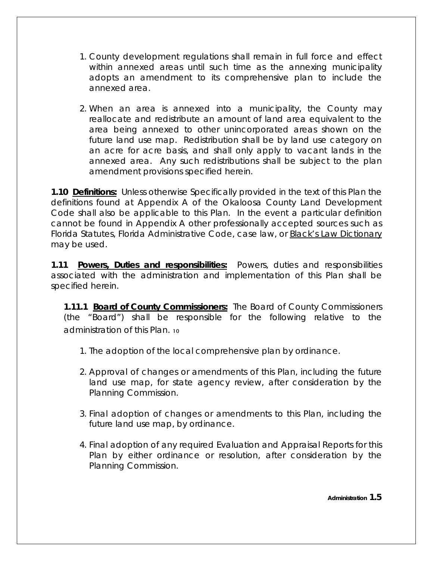- 1. County development regulations shall remain in full force and effect within annexed areas until such time as the annexing municipality adopts an amendment to its comprehensive plan to include the annexed area.
- 2. When an area is annexed into a municipality, the County may reallocate and redistribute an amount of land area equivalent to the area being annexed to other unincorporated areas shown on the future land use map. Redistribution shall be by land use category on an acre for acre basis, and shall only apply to vacant lands in the annexed area. Any such redistributions shall be subject to the plan amendment provisions specified herein.

**1.10 Definitions:** Unless otherwise Specifically provided in the text of this Plan the definitions found at Appendix A of the Okaloosa County Land Development Code shall also be applicable to this Plan. In the event a particular definition cannot be found in Appendix A other professionally accepted sources such as Florida Statutes, Florida Administrative Code, case law, or Black's Law Dictionary may be used.

**1.11 Powers, Duties and responsibilities:** Powers, duties and responsibilities associated with the administration and implementation of this Plan shall be specified herein.

**1.11.1 Board of County Commissioners:** The Board of County Commissioners (the "Board") shall be responsible for the following relative to the administration of this Plan. 10

- 1. The adoption of the local comprehensive plan by ordinance.
- 2. Approval of changes or amendments of this Plan, including the future land use map, for state agency review, after consideration by the Planning Commission.
- 3. Final adoption of changes or amendments to this Plan, including the future land use map, by ordinance.
- 4. Final adoption of any required Evaluation and Appraisal Reports for this Plan by either ordinance or resolution, after consideration by the Planning Commission.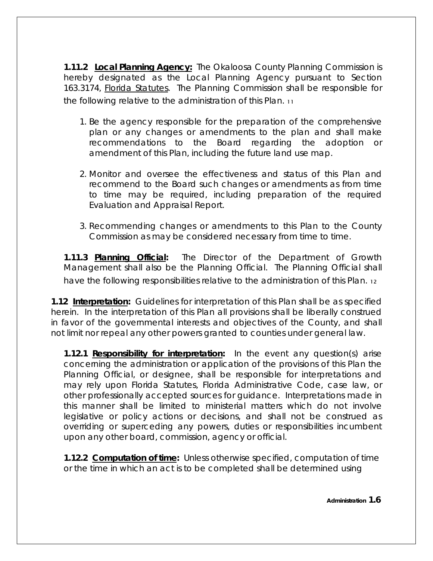**1.11.2 Local Planning Agency:** The Okaloosa County Planning Commission is hereby designated as the Local Planning Agency pursuant to Section 163.3174, Florida Statutes. The Planning Commission shall be responsible for the following relative to the administration of this Plan. 11

- 1. Be the agency responsible for the preparation of the comprehensive plan or any changes or amendments to the plan and shall make recommendations to the Board regarding the adoption or amendment of this Plan, including the future land use map.
- 2. Monitor and oversee the effectiveness and status of this Plan and recommend to the Board such changes or amendments as from time to time may be required, including preparation of the required Evaluation and Appraisal Report.
- 3. Recommending changes or amendments to this Plan to the County Commission as may be considered necessary from time to time.

**1.11.3 Planning Official:** The Director of the Department of Growth Management shall also be the Planning Official. The Planning Official shall have the following responsibilities relative to the administration of this Plan. 12

**1.12 Interpretation:** Guidelines for interpretation of this Plan shall be as specified herein. In the interpretation of this Plan all provisions shall be liberally construed in favor of the governmental interests and objectives of the County, and shall not limit nor repeal any other powers granted to counties under general law.

**1.12.1 Responsibility for interpretation:** In the event any question(s) arise concerning the administration or application of the provisions of this Plan the Planning Official, or designee, shall be responsible for interpretations and may rely upon Florida Statutes, Florida Administrative Code, case law, or other professionally accepted sources for guidance. Interpretations made in this manner shall be limited to ministerial matters which do not involve legislative or policy actions or decisions, and shall not be construed as overriding or superceding any powers, duties or responsibilities incumbent upon any other board, commission, agency or official.

**1.12.2 Computation of time:** Unless otherwise specified, computation of time or the time in which an act is to be completed shall be determined using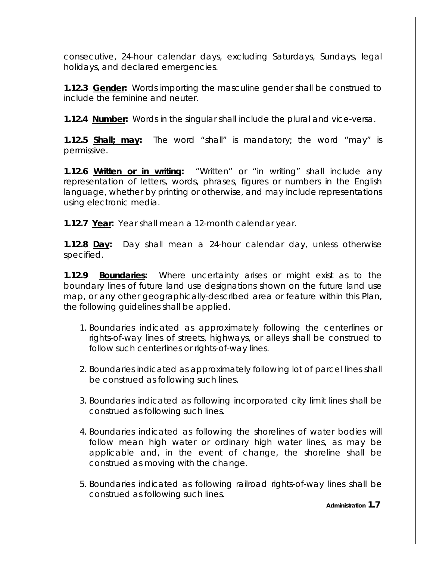consecutive, 24-hour calendar days, excluding Saturdays, Sundays, legal holidays, and declared emergencies.

**1.12.3 Gender:** Words importing the masculine gender shall be construed to include the feminine and neuter.

**1.12.4 Number:** Words in the singular shall include the plural and vice-versa.

**1.12.5 Shall; may:** The word "shall" is mandatory; the word "may" is permissive.

**1.12.6 Written or in writing:** "Written" or "in writing" shall include any representation of letters, words, phrases, figures or numbers in the English language, whether by printing or otherwise, and may include representations using electronic media.

**1.12.7 Year:** Year shall mean a 12-month calendar year.

**1.12.8 Day:** Day shall mean a 24-hour calendar day, unless otherwise specified.

**1.12.9 Boundaries:** Where uncertainty arises or might exist as to the boundary lines of future land use designations shown on the future land use map, or any other geographically-described area or feature within this Plan, the following guidelines shall be applied.

- 1. Boundaries indicated as approximately following the centerlines or rights-of-way lines of streets, highways, or alleys shall be construed to follow such centerlines or rights-of-way lines.
- 2. Boundaries indicated as approximately following lot of parcel lines shall be construed as following such lines.
- 3. Boundaries indicated as following incorporated city limit lines shall be construed as following such lines.
- 4. Boundaries indicated as following the shorelines of water bodies will follow mean high water or ordinary high water lines, as may be applicable and, in the event of change, the shoreline shall be construed as moving with the change.
- 5. Boundaries indicated as following railroad rights-of-way lines shall be construed as following such lines.

**Administration 1.7**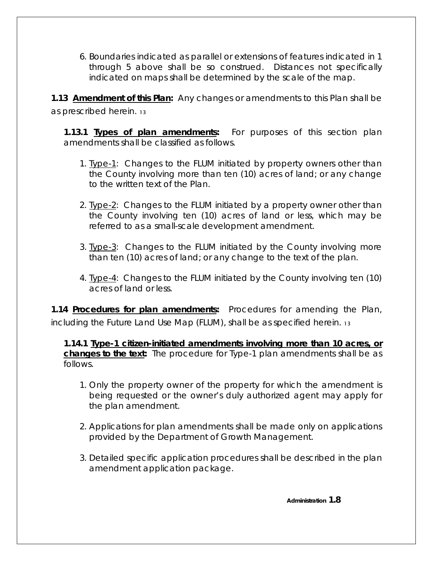6. Boundaries indicated as parallel or extensions of features indicated in 1 through 5 above shall be so construed. Distances not specifically indicated on maps shall be determined by the scale of the map.

**1.13 Amendment of this Plan:** Any changes or amendments to this Plan shall be as prescribed herein. 13

**1.13.1 Types of plan amendments:** For purposes of this section plan amendments shall be classified as follows.

- 1. Type-1: Changes to the FLUM initiated by property owners other than the County involving more than ten (10) acres of land; or any change to the written text of the Plan.
- 2. Type-2: Changes to the FLUM initiated by a property owner other than the County involving ten (10) acres of land or less, which may be referred to as a small-scale development amendment.
- 3. Type-3: Changes to the FLUM initiated by the County involving more than ten (10) acres of land; or any change to the text of the plan.
- 4. Type-4: Changes to the FLUM initiated by the County involving ten (10) acres of land or less.

**1.14 Procedures for plan amendments:** Procedures for amending the Plan, including the Future Land Use Map (FLUM), shall be as specified herein. 13

**1.14.1 Type-1 citizen-initiated amendments involving more than 10 acres, or changes to the text:** The procedure for Type-1 plan amendments shall be as follows.

- 1. Only the property owner of the property for which the amendment is being requested or the owner's duly authorized agent may apply for the plan amendment.
- 2. Applications for plan amendments shall be made only on applications provided by the Department of Growth Management.
- 3. Detailed specific application procedures shall be described in the plan amendment application package.

 **Administration 1.8**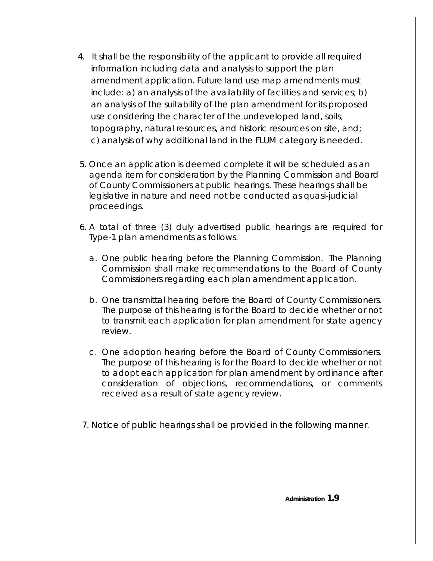- 4. It shall be the responsibility of the applicant to provide all required information including data and analysis to support the plan amendment application. Future land use map amendments must include: a) an analysis of the availability of facilities and services; b) an analysis of the suitability of the plan amendment for its proposed use considering the character of the undeveloped land, soils, topography, natural resources, and historic resources on site, and; c) analysis of why additional land in the FLUM category is needed.
- 5. Once an application is deemed complete it will be scheduled as an agenda item for consideration by the Planning Commission and Board of County Commissioners at public hearings. These hearings shall be legislative in nature and need not be conducted as quasi-judicial proceedings.
- 6. A total of three (3) duly advertised public hearings are required for Type-1 plan amendments as follows.
	- a. One public hearing before the Planning Commission. The Planning Commission shall make recommendations to the Board of County Commissioners regarding each plan amendment application.
	- b. One transmittal hearing before the Board of County Commissioners. The purpose of this hearing is for the Board to decide whether or not to transmit each application for plan amendment for state agency review.
	- c. One adoption hearing before the Board of County Commissioners. The purpose of this hearing is for the Board to decide whether or not to adopt each application for plan amendment by ordinance after consideration of objections, recommendations, or comments received as a result of state agency review.
- 7. Notice of public hearings shall be provided in the following manner.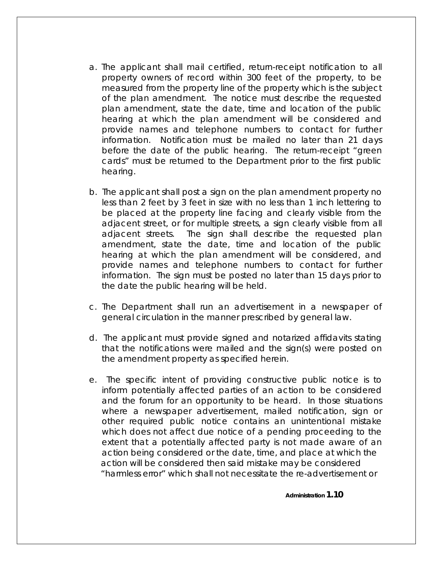- a. The applicant shall mail certified, return-receipt notification to all property owners of record within 300 feet of the property, to be measured from the property line of the property which is the subject of the plan amendment. The notice must describe the requested plan amendment, state the date, time and location of the public hearing at which the plan amendment will be considered and provide names and telephone numbers to contact for further information. Notification must be mailed no later than 21 days before the date of the public hearing. The return-receipt "green cards" must be returned to the Department prior to the first public hearing.
- b. The applicant shall post a sign on the plan amendment property no less than 2 feet by 3 feet in size with no less than 1 inch lettering to be placed at the property line facing and clearly visible from the adjacent street, or for multiple streets, a sign clearly visible from all adjacent streets. The sign shall describe the requested plan amendment, state the date, time and location of the public hearing at which the plan amendment will be considered, and provide names and telephone numbers to contact for further information. The sign must be posted no later than 15 days prior to the date the public hearing will be held.
- c. The Department shall run an advertisement in a newspaper of general circulation in the manner prescribed by general law.
- d. The applicant must provide signed and notarized affidavits stating that the notifications were mailed and the sign(s) were posted on the amendment property as specified herein.
- e. The specific intent of providing constructive public notice is to inform potentially affected parties of an action to be considered and the forum for an opportunity to be heard. In those situations where a newspaper advertisement, mailed notification, sign or other required public notice contains an unintentional mistake which does not affect due notice of a pending proceeding to the extent that a potentially affected party is not made aware of an action being considered or the date, time, and place at which the action will be considered then said mistake may be considered "harmless error" which shall not necessitate the re-advertisement or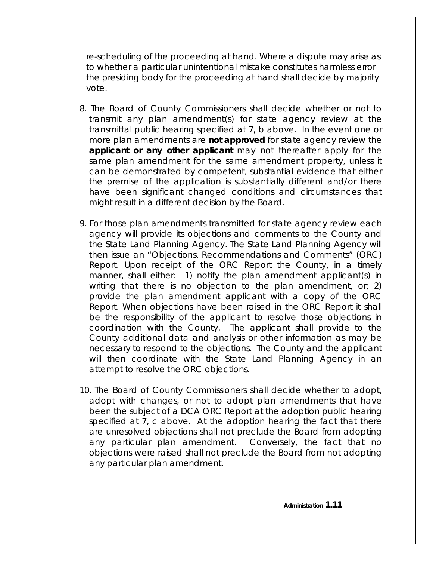re-scheduling of the proceeding at hand. Where a dispute may arise as to whether a particular unintentional mistake constitutes harmless error the presiding body for the proceeding at hand shall decide by majority vote.

- 8. The Board of County Commissioners shall decide whether or not to transmit any plan amendment(s) for state agency review at the transmittal public hearing specified at 7, b above. In the event one or more plan amendments are **not approved** for state agency review the **applicant or any other applicant** may not thereafter apply for the same plan amendment for the same amendment property, unless it can be demonstrated by competent, substantial evidence that either the premise of the application is substantially different and/or there have been significant changed conditions and circumstances that might result in a different decision by the Board.
- 9. For those plan amendments transmitted for state agency review each agency will provide its objections and comments to the County and the State Land Planning Agency. The State Land Planning Agency will then issue an "Objections, Recommendations and Comments" (ORC) Report. Upon receipt of the ORC Report the County, in a timely manner, shall either: 1) notify the plan amendment applicant(s) in writing that there is no objection to the plan amendment, or; 2) provide the plan amendment applicant with a copy of the ORC Report. When objections have been raised in the ORC Report it shall be the responsibility of the applicant to resolve those objections in coordination with the County. The applicant shall provide to the County additional data and analysis or other information as may be necessary to respond to the objections. The County and the applicant will then coordinate with the State Land Planning Agency in an attempt to resolve the ORC objections.
- 10. The Board of County Commissioners shall decide whether to adopt, adopt with changes, or not to adopt plan amendments that have been the subject of a DCA ORC Report at the adoption public hearing specified at 7, c above. At the adoption hearing the fact that there are unresolved objections shall not preclude the Board from adopting any particular plan amendment. Conversely, the fact that no objections were raised shall not preclude the Board from not adopting any particular plan amendment.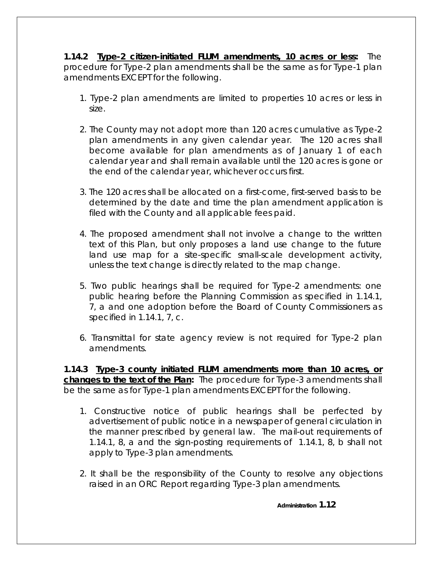**1.14.2 Type-2 citizen-initiated FLUM amendments, 10 acres or less:** The procedure for Type-2 plan amendments shall be the same as for Type-1 plan amendments EXCEPT for the following.

- 1. Type-2 plan amendments are limited to properties 10 acres or less in size.
- 2. The County may not adopt more than 120 acres cumulative as Type-2 plan amendments in any given calendar year. The 120 acres shall become available for plan amendments as of January 1 of each calendar year and shall remain available until the 120 acres is gone or the end of the calendar year, whichever occurs first.
- 3. The 120 acres shall be allocated on a first-come, first-served basis to be determined by the date and time the plan amendment application is filed with the County and all applicable fees paid.
- 4. The proposed amendment shall not involve a change to the written text of this Plan, but only proposes a land use change to the future land use map for a site-specific small-scale development activity, unless the text change is directly related to the map change.
- 5. Two public hearings shall be required for Type-2 amendments: one public hearing before the Planning Commission as specified in 1.14.1, 7, a and one adoption before the Board of County Commissioners as specified in 1.14.1, 7, c.
- 6. Transmittal for state agency review is not required for Type-2 plan amendments.

**1.14.3 Type-3 county initiated FLUM amendments more than 10 acres, or changes to the text of the Plan:** The procedure for Type-3 amendments shall be the same as for Type-1 plan amendments EXCEPT for the following.

- 1. Constructive notice of public hearings shall be perfected by advertisement of public notice in a newspaper of general circulation in the manner prescribed by general law. The mail-out requirements of 1.14.1, 8, a and the sign-posting requirements of 1.14.1, 8, b shall not apply to Type-3 plan amendments.
- 2. It shall be the responsibility of the County to resolve any objections raised in an ORC Report regarding Type-3 plan amendments.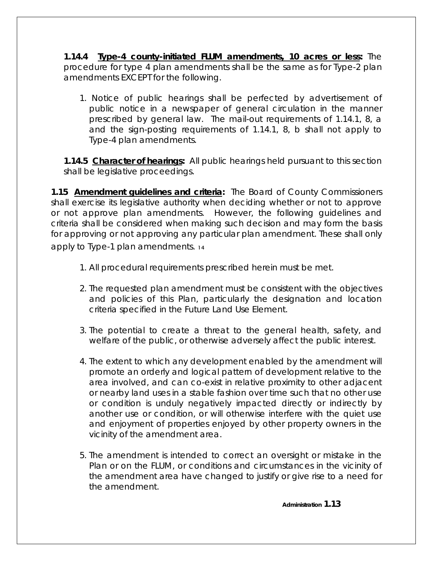**1.14.4 Type-4 county-initiated FLUM amendments, 10 acres or less:** The procedure for type 4 plan amendments shall be the same as for Type-2 plan amendments EXCEPT for the following.

1. Notice of public hearings shall be perfected by advertisement of public notice in a newspaper of general circulation in the manner prescribed by general law. The mail-out requirements of 1.14.1, 8, a and the sign-posting requirements of 1.14.1, 8, b shall not apply to Type-4 plan amendments.

**1.14.5 Character of hearings:** All public hearings held pursuant to this section shall be legislative proceedings.

**1.15 Amendment guidelines and criteria:** The Board of County Commissioners shall exercise its legislative authority when deciding whether or not to approve or not approve plan amendments. However, the following guidelines and criteria shall be considered when making such decision and may form the basis for approving or not approving any particular plan amendment. These shall only apply to Type-1 plan amendments. 14

- 1. All procedural requirements prescribed herein must be met.
- 2. The requested plan amendment must be consistent with the objectives and policies of this Plan, particularly the designation and location criteria specified in the Future Land Use Element.
- 3. The potential to create a threat to the general health, safety, and welfare of the public, or otherwise adversely affect the public interest.
- 4. The extent to which any development enabled by the amendment will promote an orderly and logical pattern of development relative to the area involved, and can co-exist in relative proximity to other adjacent or nearby land uses in a stable fashion over time such that no other use or condition is unduly negatively impacted directly or indirectly by another use or condition, or will otherwise interfere with the quiet use and enjoyment of properties enjoyed by other property owners in the vicinity of the amendment area.
- 5. The amendment is intended to correct an oversight or mistake in the Plan or on the FLUM, or conditions and circumstances in the vicinity of the amendment area have changed to justify or give rise to a need for the amendment.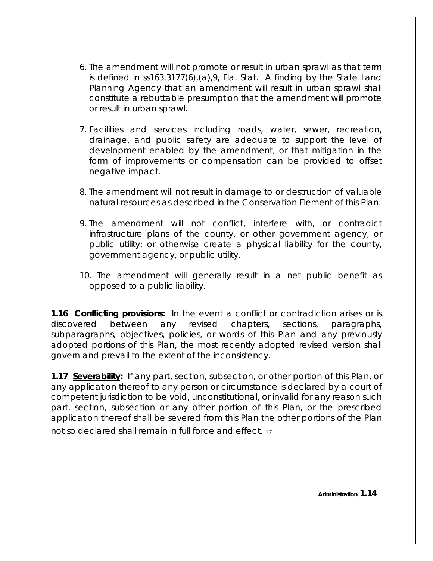- 6. The amendment will not promote or result in urban sprawl as that term is defined in ss163.3177(6),(a),9, Fla. Stat. A finding by the State Land Planning Agency that an amendment will result in urban sprawl shall constitute a rebuttable presumption that the amendment will promote or result in urban sprawl.
- 7. Facilities and services including roads, water, sewer, recreation, drainage, and public safety are adequate to support the level of development enabled by the amendment, or that mitigation in the form of improvements or compensation can be provided to offset negative impact.
- 8. The amendment will not result in damage to or destruction of valuable natural resources as described in the Conservation Element of this Plan.
- 9. The amendment will not conflict, interfere with, or contradict infrastructure plans of the county, or other government agency, or public utility; or otherwise create a physical liability for the county, government agency, or public utility.
- 10. The amendment will generally result in a net public benefit as opposed to a public liability.

**1.16 Conflicting provisions:** In the event a conflict or contradiction arises or is discovered between any revised chapters, sections, paragraphs, subparagraphs, objectives, policies, or words of this Plan and any previously adopted portions of this Plan, the most recently adopted revised version shall govern and prevail to the extent of the inconsistency.

**1.17 Severability:** If any part, section, subsection, or other portion of this Plan, or any application thereof to any person or circumstance is declared by a court of competent jurisdiction to be void, unconstitutional, or invalid for any reason such part, section, subsection or any other portion of this Plan, or the prescribed application thereof shall be severed from this Plan the other portions of the Plan not so declared shall remain in full force and effect.  $_1$